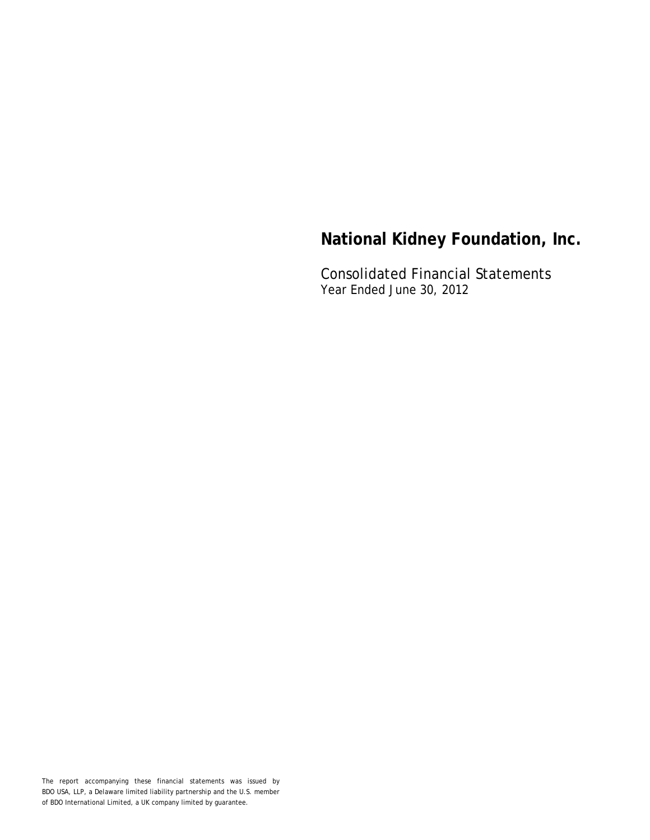Consolidated Financial Statements Year Ended June 30, 2012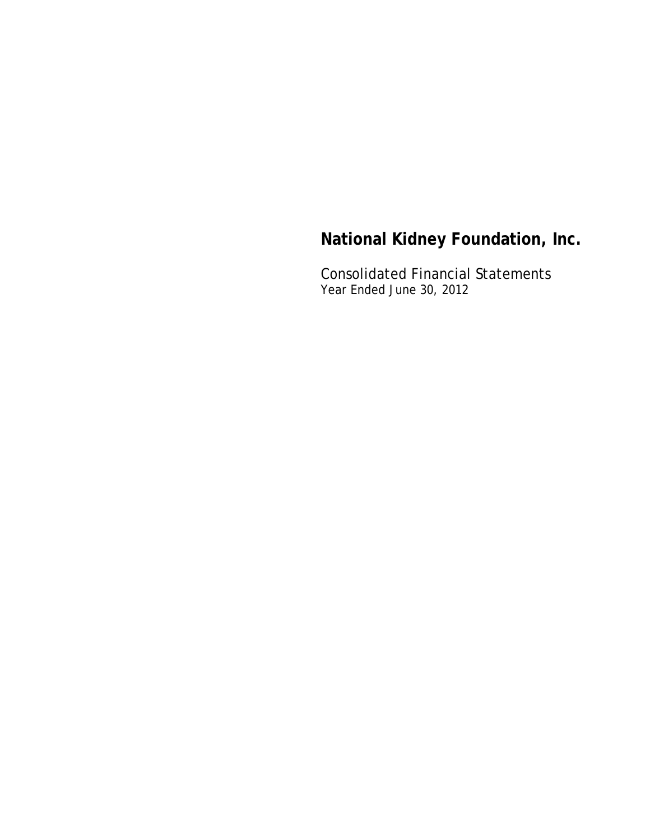Consolidated Financial Statements Year Ended June 30, 2012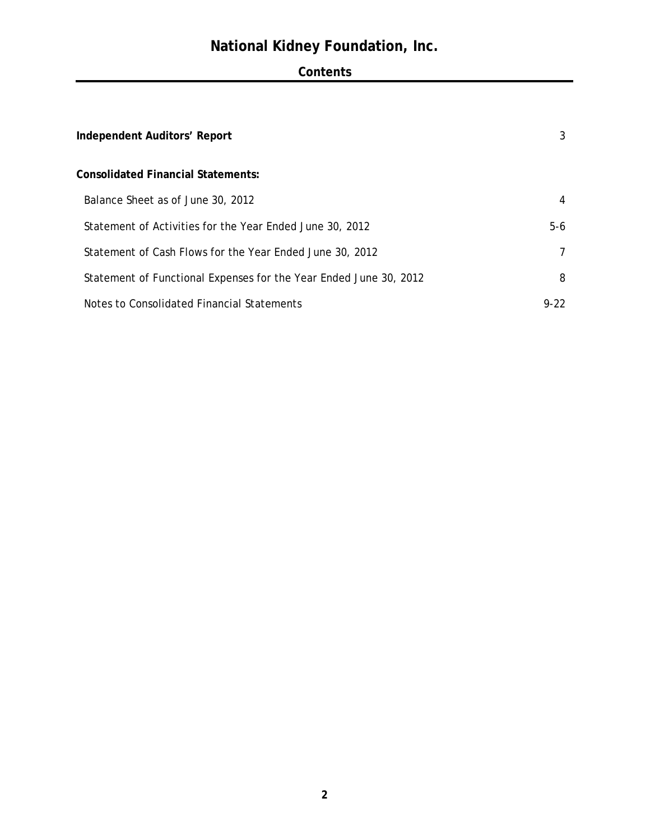## **Contents**

| Independent Auditors' Report                                      | 3      |
|-------------------------------------------------------------------|--------|
| Consolidated Financial Statements:                                |        |
| Balance Sheet as of June 30, 2012                                 | 4      |
| Statement of Activities for the Year Ended June 30, 2012          | $5-6$  |
| Statement of Cash Flows for the Year Ended June 30, 2012          | 7      |
| Statement of Functional Expenses for the Year Ended June 30, 2012 | 8      |
| Notes to Consolidated Financial Statements                        | $9-22$ |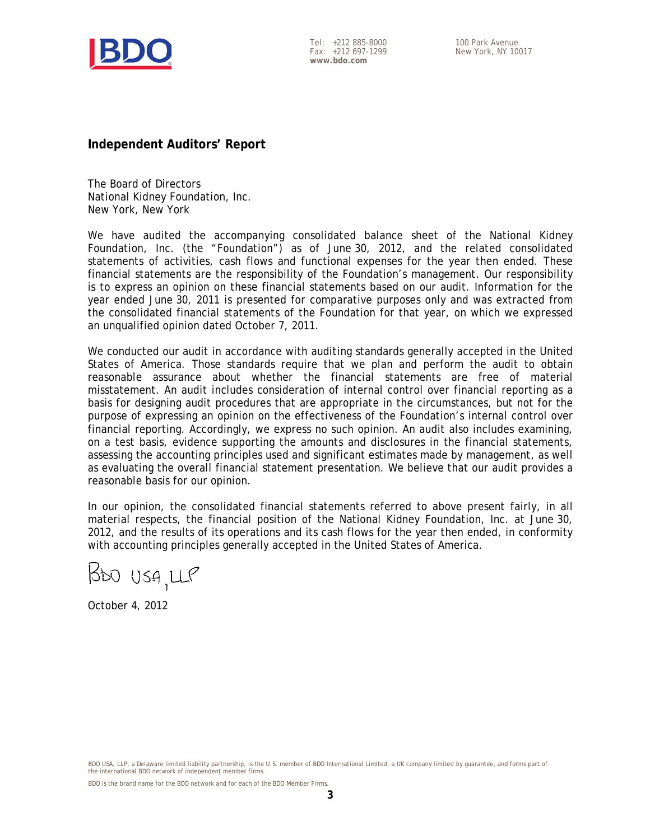

Tel: +212 885-8000 Fax: +212 697-1299 **www.bdo.com** 

**Independent Auditors' Report** 

The Board of Directors National Kidney Foundation, Inc. New York, New York

We have audited the accompanying consolidated balance sheet of the National Kidney Foundation, Inc. (the "Foundation") as of June 30, 2012, and the related consolidated statements of activities, cash flows and functional expenses for the year then ended. These financial statements are the responsibility of the Foundation's management. Our responsibility is to express an opinion on these financial statements based on our audit. Information for the year ended June 30, 2011 is presented for comparative purposes only and was extracted from the consolidated financial statements of the Foundation for that year, on which we expressed an unqualified opinion dated October 7, 2011.

We conducted our audit in accordance with auditing standards generally accepted in the United States of America. Those standards require that we plan and perform the audit to obtain reasonable assurance about whether the financial statements are free of material misstatement. An audit includes consideration of internal control over financial reporting as a basis for designing audit procedures that are appropriate in the circumstances, but not for the purpose of expressing an opinion on the effectiveness of the Foundation's internal control over financial reporting. Accordingly, we express no such opinion. An audit also includes examining, on a test basis, evidence supporting the amounts and disclosures in the financial statements, assessing the accounting principles used and significant estimates made by management, as well as evaluating the overall financial statement presentation. We believe that our audit provides a reasonable basis for our opinion.

In our opinion, the consolidated financial statements referred to above present fairly, in all material respects, the financial position of the National Kidney Foundation, Inc. at June 30, 2012, and the results of its operations and its cash flows for the year then ended, in conformity with accounting principles generally accepted in the United States of America.

 $1500059,119$ 

October 4, 2012

BDO USA, LLP, a Delaware limited liability partnership, is the U.S. member of BDO International Limited, a UK company limited by guarantee, and forms part of the international BDO network of independent member firms.

BDO is the brand name for the BDO network and for each of the BDO Member Firms.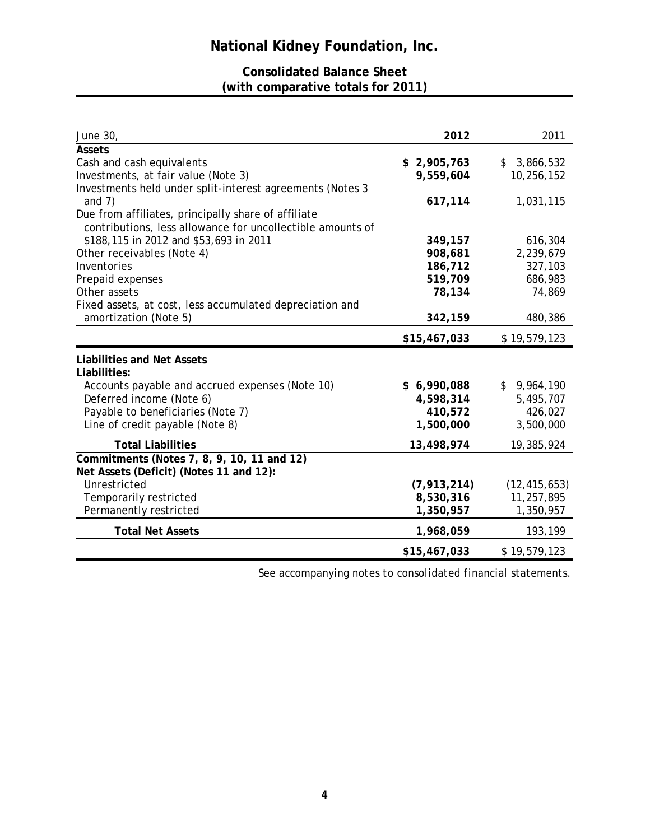## **Consolidated Balance Sheet (with comparative totals for 2011)**

| June 30,                                                   | 2012          | 2011            |
|------------------------------------------------------------|---------------|-----------------|
| Assets                                                     |               |                 |
| Cash and cash equivalents                                  | \$2,905,763   | 3,866,532<br>\$ |
| Investments, at fair value (Note 3)                        | 9,559,604     | 10,256,152      |
| Investments held under split-interest agreements (Notes 3  |               |                 |
| and $7)$                                                   | 617,114       | 1,031,115       |
| Due from affiliates, principally share of affiliate        |               |                 |
| contributions, less allowance for uncollectible amounts of |               |                 |
| \$188,115 in 2012 and \$53,693 in 2011                     | 349,157       | 616,304         |
| Other receivables (Note 4)                                 | 908,681       | 2,239,679       |
| Inventories                                                | 186,712       | 327,103         |
| Prepaid expenses                                           | 519,709       | 686,983         |
| Other assets                                               | 78,134        | 74,869          |
| Fixed assets, at cost, less accumulated depreciation and   |               |                 |
| amortization (Note 5)                                      | 342,159       | 480,386         |
|                                                            | \$15,467,033  | \$19,579,123    |
| <b>Liabilities and Net Assets</b>                          |               |                 |
| Liabilities:                                               |               |                 |
| Accounts payable and accrued expenses (Note 10)            | \$6,990,088   | \$9,964,190     |
| Deferred income (Note 6)                                   | 4,598,314     | 5,495,707       |
| Payable to beneficiaries (Note 7)                          | 410,572       | 426,027         |
| Line of credit payable (Note 8)                            | 1,500,000     | 3,500,000       |
|                                                            |               |                 |
| <b>Total Liabilities</b>                                   | 13,498,974    | 19,385,924      |
| Commitments (Notes 7, 8, 9, 10, 11 and 12)                 |               |                 |
| Net Assets (Deficit) (Notes 11 and 12):                    |               |                 |
| Unrestricted                                               | (7, 913, 214) | (12, 415, 653)  |
| Temporarily restricted                                     | 8,530,316     | 11,257,895      |
| Permanently restricted                                     | 1,350,957     | 1,350,957       |
| <b>Total Net Assets</b>                                    | 1,968,059     | 193,199         |
|                                                            | \$15,467,033  | \$19,579,123    |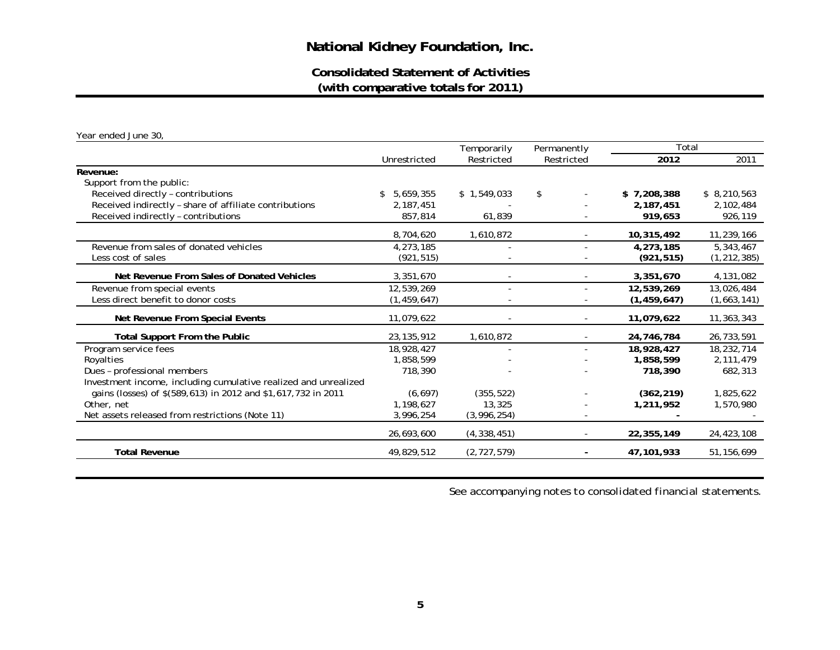**Consolidated Statement of Activities(with comparative totals for 2011)**

*Year ended June 30,* 

|                                                                 |                 | Temporarily              | Permanently    | Total         |               |
|-----------------------------------------------------------------|-----------------|--------------------------|----------------|---------------|---------------|
|                                                                 | Unrestricted    | Restricted               | Restricted     | 2012          | 2011          |
| Revenue:                                                        |                 |                          |                |               |               |
| Support from the public:                                        |                 |                          |                |               |               |
| Received directly - contributions                               | 5,659,355<br>\$ | \$1,549,033              | \$             | \$7,208,388   | \$8,210,563   |
| Received indirectly - share of affiliate contributions          | 2, 187, 451     |                          |                | 2,187,451     | 2,102,484     |
| Received indirectly - contributions                             | 857,814         | 61,839                   |                | 919,653       | 926,119       |
|                                                                 | 8,704,620       | 1,610,872                |                | 10,315,492    | 11,239,166    |
| Revenue from sales of donated vehicles                          | 4,273,185       |                          |                | 4,273,185     | 5,343,467     |
| Less cost of sales                                              | (921, 515)      |                          |                | (921, 515)    | (1, 212, 385) |
| Net Revenue From Sales of Donated Vehicles                      | 3,351,670       |                          |                | 3,351,670     | 4,131,082     |
| Revenue from special events                                     | 12,539,269      | $\overline{\phantom{0}}$ |                | 12,539,269    | 13,026,484    |
| Less direct benefit to donor costs                              | (1, 459, 647)   |                          |                | (1, 459, 647) | (1,663,141)   |
| Net Revenue From Special Events                                 | 11,079,622      |                          |                | 11,079,622    | 11,363,343    |
| <b>Total Support From the Public</b>                            | 23, 135, 912    | 1,610,872                |                | 24,746,784    | 26,733,591    |
| Program service fees                                            | 18,928,427      | $\overline{\phantom{a}}$ | ٠              | 18,928,427    | 18,232,714    |
| Royalties                                                       | 1,858,599       |                          |                | 1,858,599     | 2,111,479     |
| Dues - professional members                                     | 718,390         |                          |                | 718,390       | 682,313       |
| Investment income, including cumulative realized and unrealized |                 |                          |                |               |               |
| gains (losses) of \$(589,613) in 2012 and \$1,617,732 in 2011   | (6, 697)        | (355, 522)               |                | (362, 219)    | 1,825,622     |
| Other, net                                                      | 1,198,627       | 13,325                   |                | 1,211,952     | 1,570,980     |
| Net assets released from restrictions (Note 11)                 | 3,996,254       | (3,996,254)              |                |               |               |
|                                                                 | 26,693,600      | (4,338,451)              |                | 22,355,149    | 24,423,108    |
| <b>Total Revenue</b>                                            | 49,829,512      | (2, 727, 579)            | $\blacksquare$ | 47,101,933    | 51, 156, 699  |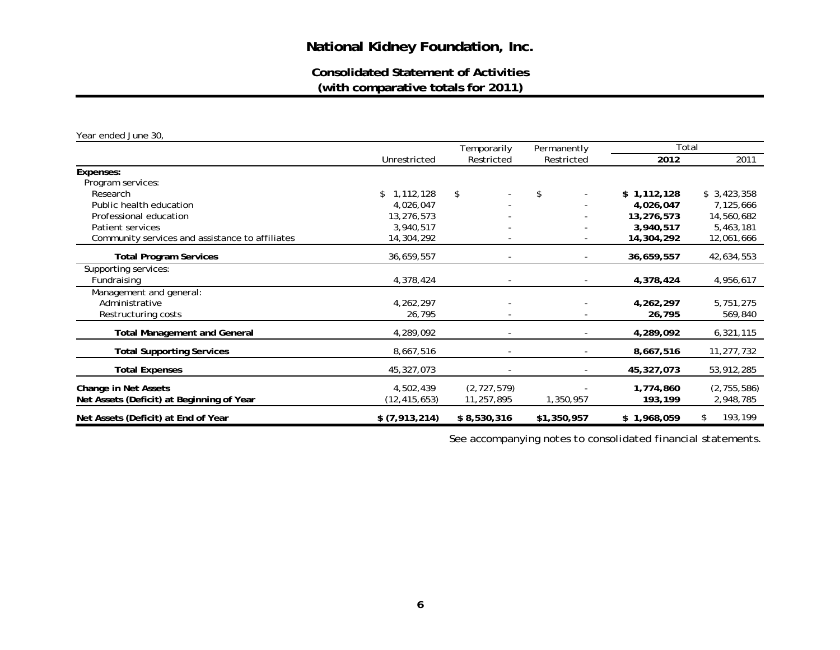## **Consolidated Statement of Activities(with comparative totals for 2011)**

*Year ended June 30,* 

|                                                 |                 | Temporarily              | Permanently              | Total       |               |
|-------------------------------------------------|-----------------|--------------------------|--------------------------|-------------|---------------|
|                                                 | Unrestricted    | Restricted               | Restricted               | 2012        | 2011          |
| Expenses:                                       |                 |                          |                          |             |               |
| Program services:                               |                 |                          |                          |             |               |
| Research                                        | 1,112,128<br>\$ | \$                       | \$                       | \$1,112,128 | \$3,423,358   |
| Public health education                         | 4,026,047       |                          |                          | 4,026,047   | 7,125,666     |
| Professional education                          | 13,276,573      |                          |                          | 13,276,573  | 14,560,682    |
| Patient services                                | 3,940,517       |                          |                          | 3,940,517   | 5,463,181     |
| Community services and assistance to affiliates | 14,304,292      |                          |                          | 14,304,292  | 12,061,666    |
| <b>Total Program Services</b>                   | 36,659,557      | $\overline{\phantom{a}}$ | $\overline{\phantom{a}}$ | 36,659,557  | 42,634,553    |
| Supporting services:                            |                 |                          |                          |             |               |
| Fundraising                                     | 4,378,424       |                          |                          | 4,378,424   | 4,956,617     |
| Management and general:                         |                 |                          |                          |             |               |
| Administrative                                  | 4,262,297       |                          |                          | 4,262,297   | 5,751,275     |
| Restructuring costs                             | 26,795          |                          |                          | 26,795      | 569,840       |
| <b>Total Management and General</b>             | 4,289,092       | $\overline{\phantom{a}}$ | $\overline{\phantom{a}}$ | 4,289,092   | 6,321,115     |
| <b>Total Supporting Services</b>                | 8,667,516       |                          |                          | 8,667,516   | 11,277,732    |
| <b>Total Expenses</b>                           | 45,327,073      |                          |                          | 45,327,073  | 53,912,285    |
| Change in Net Assets                            | 4,502,439       | (2, 727, 579)            |                          | 1,774,860   | (2, 755, 586) |
| Net Assets (Deficit) at Beginning of Year       | (12, 415, 653)  | 11,257,895               | 1,350,957                | 193,199     | 2,948,785     |
| Net Assets (Deficit) at End of Year             | \$ (7,913,214)  | \$8,530,316              | \$1,350,957              | \$1,968,059 | 193,199<br>\$ |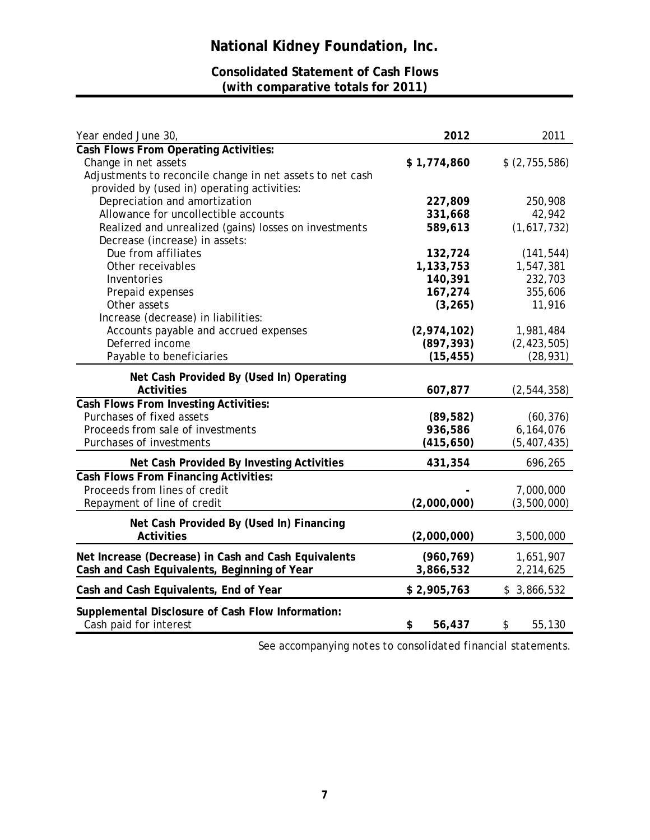## **Consolidated Statement of Cash Flows (with comparative totals for 2011)**

| Year ended June 30,                                       | 2012         | 2011          |
|-----------------------------------------------------------|--------------|---------------|
| Cash Flows From Operating Activities:                     |              |               |
| Change in net assets                                      | \$1,774,860  | \$(2,755,586) |
| Adjustments to reconcile change in net assets to net cash |              |               |
| provided by (used in) operating activities:               |              |               |
| Depreciation and amortization                             | 227,809      | 250,908       |
| Allowance for uncollectible accounts                      | 331,668      | 42,942        |
| Realized and unrealized (gains) losses on investments     | 589,613      | (1,617,732)   |
| Decrease (increase) in assets:                            |              |               |
| Due from affiliates                                       | 132,724      | (141, 544)    |
| Other receivables                                         | 1,133,753    | 1,547,381     |
| Inventories                                               | 140,391      | 232,703       |
| Prepaid expenses                                          | 167,274      | 355,606       |
| Other assets                                              | (3, 265)     | 11,916        |
| Increase (decrease) in liabilities:                       |              |               |
| Accounts payable and accrued expenses                     | (2,974,102)  | 1,981,484     |
| Deferred income                                           | (897, 393)   | (2, 423, 505) |
| Payable to beneficiaries                                  | (15, 455)    | (28, 931)     |
|                                                           |              |               |
| Net Cash Provided By (Used In) Operating                  |              |               |
| <b>Activities</b>                                         | 607,877      | (2, 544, 358) |
| <b>Cash Flows From Investing Activities:</b>              |              |               |
| Purchases of fixed assets                                 | (89, 582)    | (60, 376)     |
| Proceeds from sale of investments                         | 936,586      | 6,164,076     |
| Purchases of investments                                  | (415,650)    | (5,407,435)   |
| Net Cash Provided By Investing Activities                 | 431,354      | 696,265       |
| Cash Flows From Financing Activities:                     |              |               |
| Proceeds from lines of credit                             |              | 7,000,000     |
| Repayment of line of credit                               | (2,000,000)  | (3,500,000)   |
|                                                           |              |               |
| Net Cash Provided By (Used In) Financing                  |              |               |
| <b>Activities</b>                                         | (2,000,000)  | 3,500,000     |
| Net Increase (Decrease) in Cash and Cash Equivalents      | (960, 769)   | 1,651,907     |
| Cash and Cash Equivalents, Beginning of Year              | 3,866,532    | 2,214,625     |
| Cash and Cash Equivalents, End of Year                    | \$2,905,763  | \$3,866,532   |
|                                                           |              |               |
| Supplemental Disclosure of Cash Flow Information:         |              |               |
| Cash paid for interest                                    | \$<br>56,437 | 55,130<br>\$  |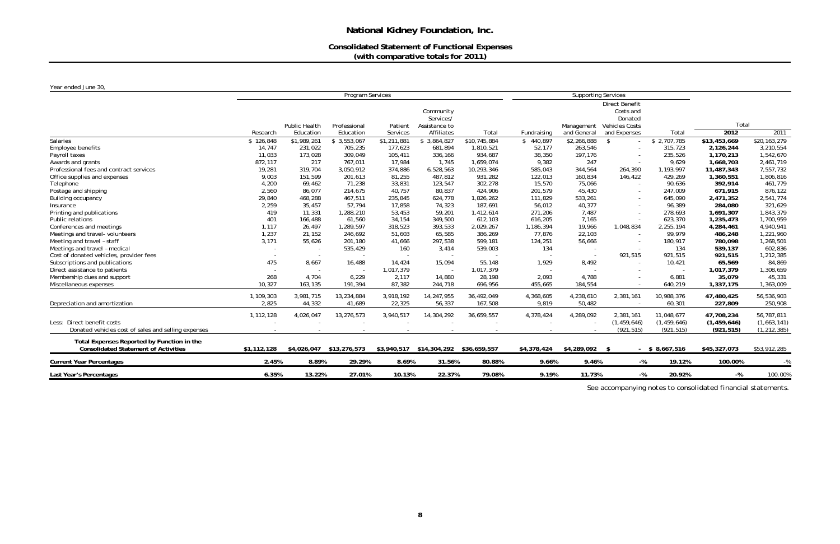## **Consolidated Statement of Functional Expenses (with comparative totals for 2011)**

| Year ended June 30,                                 |             |                          |                         |             |               |              |             |                            |                             |                  |               |               |
|-----------------------------------------------------|-------------|--------------------------|-------------------------|-------------|---------------|--------------|-------------|----------------------------|-----------------------------|------------------|---------------|---------------|
|                                                     |             |                          | <b>Program Services</b> |             |               |              |             | <b>Supporting Services</b> |                             |                  |               |               |
|                                                     |             |                          |                         |             | Community     |              |             |                            | Direct Benefit<br>Costs and |                  |               |               |
|                                                     |             |                          |                         |             | Services/     |              |             |                            | Donated                     |                  |               |               |
|                                                     |             | Public Health            | Professional            | Patient     | Assistance to |              |             | Management                 | <b>Vehicles Costs</b>       |                  | Total         |               |
|                                                     | Research    | Education                | Education               | Services    | Affiliates    | Total        | Fundraising | and General                | and Expenses                | Total            | 2012          | 2011          |
| <b>Salaries</b>                                     | \$126,848   | \$1,989,261              | \$3,553,067             | \$1,211,881 | \$3,864,827   | \$10,745,884 | \$440,897   | \$2,266,888                | -\$                         | \$2,707,785      | \$13,453,669  | \$20,163,279  |
| Employee benefits                                   | 14,747      | 231,022                  | 705,235                 | 177,623     | 681,894       | 1,810,521    | 52,177      | 263,546                    | $\sim$                      | 315,723          | 2,126,244     | 3,210,554     |
| Payroll taxes                                       | 11,033      | 173,028                  | 309,049                 | 105,411     | 336,166       | 934,687      | 38,350      | 197,176                    |                             | 235,526          | 1,170,213     | 1,542,670     |
| Awards and grants                                   | 872,117     | 217                      | 767,011                 | 17,984      | 1,745         | 1,659,074    | 9,382       | 247                        | $\sim$                      | 9,629            | 1,668,703     | 2,461,719     |
| Professional fees and contract services             | 19,281      | 319,704                  | 3,050,912               | 374,886     | 6,528,563     | 10,293,346   | 585,043     | 344,564                    | 264,390                     | 1,193,997        | 11,487,343    | 7,557,732     |
| Office supplies and expenses                        | 9,003       | 151,599                  | 201,613                 | 81,255      | 487,812       | 931,282      | 122,013     | 160,834                    | 146,422                     | 429,269          | 1,360,551     | 1,806,816     |
| Telephone                                           | 4,200       | 69,462                   | 71,238                  | 33,831      | 123,547       | 302,278      | 15,570      | 75,066                     | $\sim$                      | 90,636           | 392,914       | 461,779       |
| Postage and shipping                                | 2,560       | 86,077                   | 214,675                 | 40,757      | 80,837        | 424,906      | 201,579     | 45,430                     | $\sim$                      | 247,009          | 671,915       | 876,122       |
| Building occupancy                                  | 29,840      | 468,288                  | 467,511                 | 235,845     | 624,778       | 1,826,262    | 111,829     | 533,261                    | $\sim$                      | 645,090          | 2,471,352     | 2,541,774     |
| Insurance                                           | 2,259       | 35,457                   | 57,794                  | 17,858      | 74,323        | 187,691      | 56,012      | 40,377                     | $\sim$                      | 96,389           | 284,080       | 321,629       |
| Printing and publications                           | 419         | 11,331                   | 1,288,210               | 53,453      | 59,201        | 1,412,614    | 271,206     | 7,487                      | $\sim$                      | 278,693          | 1,691,307     | 1,843,379     |
| Public relations                                    | 401         | 166,488                  | 61,560                  | 34,154      | 349,500       | 612,103      | 616,205     | 7,165                      |                             | 623,370          | 1,235,473     | 1,700,959     |
| Conferences and meetings                            | 1,117       | 26,497                   | 1,289,597               | 318,523     | 393,533       | 2,029,267    | 1,186,394   | 19,966                     | 1,048,834                   | 2,255,194        | 4,284,461     | 4,940,941     |
| Meetings and travel- volunteers                     | 1,237       | 21,152                   | 246,692                 | 51,603      | 65,585        | 386,269      | 77,876      | 22,103                     |                             | 99,979           | 486,248       | 1,221,960     |
| Meeting and travel - staff                          | 3,171       | 55,626                   | 201,180                 | 41,666      | 297,538       | 599,181      | 124,251     | 56,666                     | $\sim$                      | 180,917          | 780,098       | 1,268,501     |
| Meetings and travel - medical                       |             | $\overline{\phantom{a}}$ | 535,429                 | 160         | 3,414         | 539,003      | 134         | $\sim$                     |                             | 134              | 539,137       | 602,836       |
| Cost of donated vehicles, provider fees             |             |                          |                         |             |               |              |             |                            | 921,515                     | 921,515          | 921,515       | 1,212,385     |
| Subscriptions and publications                      | 475         | 8,667                    | 16,488                  | 14,424      | 15,094        | 55,148       | 1,929       | 8,492                      | $\sim$                      | 10,421           | 65,569        | 84,869        |
| Direct assistance to patients                       |             |                          |                         | 1,017,379   |               | 1,017,379    |             |                            |                             |                  | 1,017,379     | 1,308,659     |
| Membership dues and support                         | 268         | 4,704                    | 6,229                   | 2,117       | 14,880        | 28,198       | 2,093       | 4,788                      |                             | 6,881            | 35,079        | 45,331        |
| Miscellaneous expenses                              | 10,327      | 163,135                  | 191,394                 | 87,382      | 244,718       | 696,956      | 455,665     | 184,554                    |                             | 640,219          | 1,337,175     | 1,363,009     |
|                                                     | 1,109,303   | 3,981,715                | 13,234,884              | 3,918,192   | 14,247,955    | 36,492,049   | 4,368,605   | 4,238,610                  | 2,381,161                   | 10,988,376       | 47,480,425    | 56,536,903    |
| Depreciation and amortization                       | 2,825       | 44,332                   | 41,689                  | 22,325      | 56,337        | 167,508      | 9,819       | 50,482                     |                             | 60,301           | 227,809       | 250,908       |
|                                                     |             |                          |                         |             |               |              |             |                            |                             |                  |               |               |
|                                                     | 1,112,128   | 4,026,047                | 13,276,573              | 3,940,517   | 14,304,292    | 36,659,557   | 4,378,424   | 4,289,092                  | 2,381,161                   | 11,048,677       | 47,708,234    | 56,787,811    |
| Less: Direct benefit costs                          |             |                          |                         |             |               |              |             |                            | (1, 459, 646)               | (1, 459, 646)    | (1, 459, 646) | (1,663,141)   |
| Donated vehicles cost of sales and selling expenses |             |                          |                         |             |               |              |             |                            | (921, 515)                  | (921, 515)       | (921, 515)    | (1, 212, 385) |
| Total Expenses Reported by Function in the          |             |                          |                         |             |               |              |             |                            |                             |                  |               |               |
| <b>Consolidated Statement of Activities</b>         | \$1,112,128 | \$4,026,047              | \$13,276,573            | \$3,940,517 | \$14,304,292  | \$36,659,557 | \$4,378,424 | \$4,289,092                | -\$                         | $-$ \$ 8,667,516 | \$45,327,073  | \$53,912,285  |
| <b>Current Year Percentages</b>                     | 2.45%       | 8.89%                    | 29.29%                  | 8.69%       | 31.56%        | 80.88%       | 9.66%       | 9.46%                      | $-$ %                       | 19.12%           | 100.00%       | $-$ %         |
| Last Year's Percentages                             | 6.35%       | 13.22%                   | 27.01%                  | 10.13%      | 22.37%        | 79.08%       | 9.19%       | 11.73%                     | $-$ %                       | 20.92%           | $-$ %         | 100.00%       |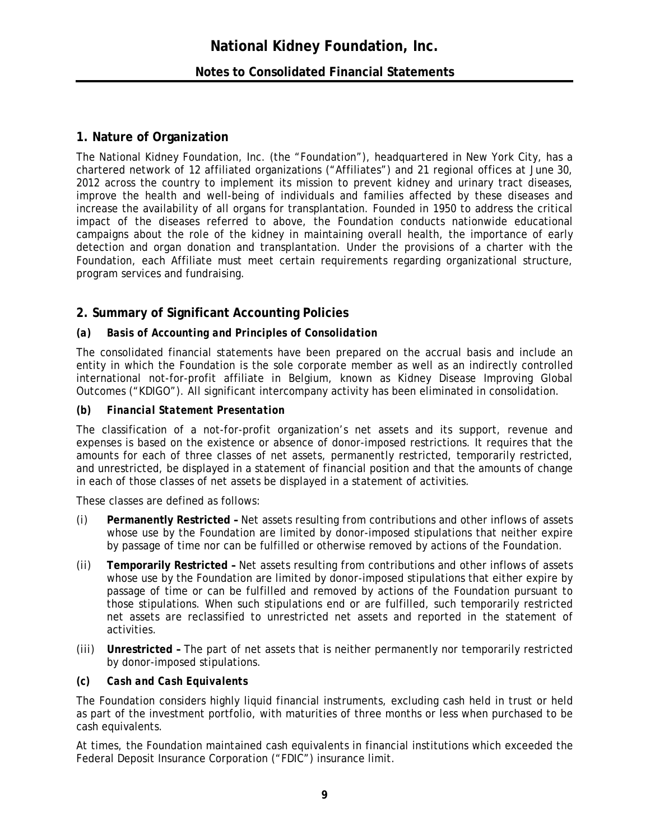## **Notes to Consolidated Financial Statements**

## **1. Nature of Organization**

The National Kidney Foundation, Inc. (the "Foundation"), headquartered in New York City, has a chartered network of 12 affiliated organizations ("Affiliates") and 21 regional offices at June 30, 2012 across the country to implement its mission to prevent kidney and urinary tract diseases, improve the health and well-being of individuals and families affected by these diseases and increase the availability of all organs for transplantation. Founded in 1950 to address the critical impact of the diseases referred to above, the Foundation conducts nationwide educational campaigns about the role of the kidney in maintaining overall health, the importance of early detection and organ donation and transplantation. Under the provisions of a charter with the Foundation, each Affiliate must meet certain requirements regarding organizational structure, program services and fundraising.

### **2. Summary of Significant Accounting Policies**

#### *(a) Basis of Accounting and Principles of Consolidation*

The consolidated financial statements have been prepared on the accrual basis and include an entity in which the Foundation is the sole corporate member as well as an indirectly controlled international not-for-profit affiliate in Belgium, known as Kidney Disease Improving Global Outcomes ("KDIGO"). All significant intercompany activity has been eliminated in consolidation.

#### *(b) Financial Statement Presentation*

The classification of a not-for-profit organization's net assets and its support, revenue and expenses is based on the existence or absence of donor-imposed restrictions. It requires that the amounts for each of three classes of net assets, permanently restricted, temporarily restricted, and unrestricted, be displayed in a statement of financial position and that the amounts of change in each of those classes of net assets be displayed in a statement of activities.

These classes are defined as follows:

- *(i)* **Permanently Restricted –** Net assets resulting from contributions and other inflows of assets whose use by the Foundation are limited by donor-imposed stipulations that neither expire by passage of time nor can be fulfilled or otherwise removed by actions of the Foundation.
- *(ii)* **Temporarily Restricted –** Net assets resulting from contributions and other inflows of assets whose use by the Foundation are limited by donor-imposed stipulations that either expire by passage of time or can be fulfilled and removed by actions of the Foundation pursuant to those stipulations. When such stipulations end or are fulfilled, such temporarily restricted net assets are reclassified to unrestricted net assets and reported in the statement of activities.
- *(iii)* **Unrestricted –** The part of net assets that is neither permanently nor temporarily restricted by donor-imposed stipulations.

#### *(c) Cash and Cash Equivalents*

The Foundation considers highly liquid financial instruments, excluding cash held in trust or held as part of the investment portfolio, with maturities of three months or less when purchased to be cash equivalents.

At times, the Foundation maintained cash equivalents in financial institutions which exceeded the Federal Deposit Insurance Corporation ("FDIC") insurance limit.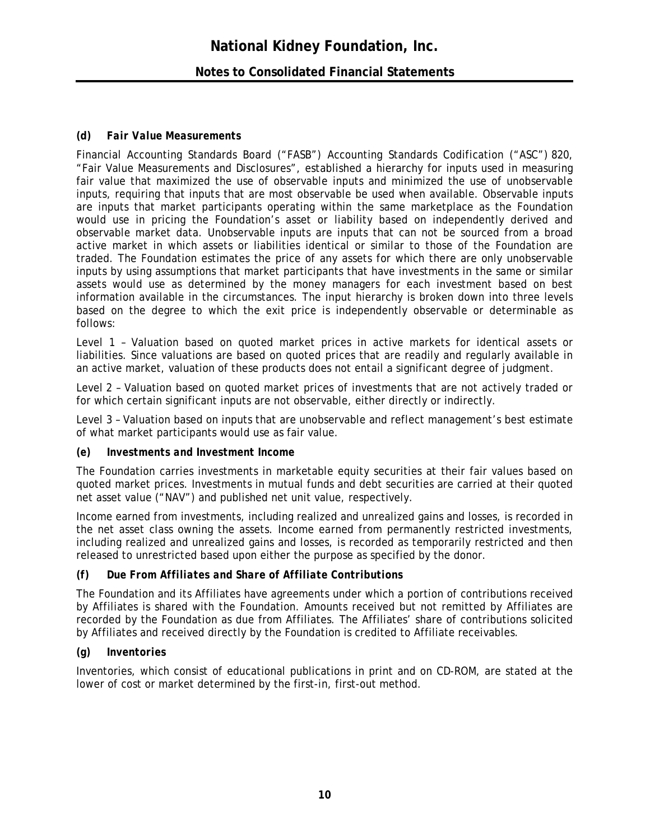## **National Kidney Foundation, Inc. Notes to Consolidated Financial Statements**

### *(d) Fair Value Measurements*

Financial Accounting Standards Board ("FASB") Accounting Standards Codification ("ASC") 820, "Fair Value Measurements and Disclosures", established a hierarchy for inputs used in measuring fair value that maximized the use of observable inputs and minimized the use of unobservable inputs, requiring that inputs that are most observable be used when available. Observable inputs are inputs that market participants operating within the same marketplace as the Foundation would use in pricing the Foundation's asset or liability based on independently derived and observable market data. Unobservable inputs are inputs that can not be sourced from a broad active market in which assets or liabilities identical or similar to those of the Foundation are traded. The Foundation estimates the price of any assets for which there are only unobservable inputs by using assumptions that market participants that have investments in the same or similar assets would use as determined by the money managers for each investment based on best information available in the circumstances. The input hierarchy is broken down into three levels based on the degree to which the exit price is independently observable or determinable as follows:

Level 1 – Valuation based on quoted market prices in active markets for identical assets or liabilities. Since valuations are based on quoted prices that are readily and regularly available in an active market, valuation of these products does not entail a significant degree of judgment.

Level 2 – Valuation based on quoted market prices of investments that are not actively traded or for which certain significant inputs are not observable, either directly or indirectly.

Level 3 – Valuation based on inputs that are unobservable and reflect management's best estimate of what market participants would use as fair value.

#### *(e) Investments and Investment Income*

The Foundation carries investments in marketable equity securities at their fair values based on quoted market prices. Investments in mutual funds and debt securities are carried at their quoted net asset value ("NAV") and published net unit value, respectively.

Income earned from investments, including realized and unrealized gains and losses, is recorded in the net asset class owning the assets. Income earned from permanently restricted investments, including realized and unrealized gains and losses, is recorded as temporarily restricted and then released to unrestricted based upon either the purpose as specified by the donor.

#### *(f) Due From Affiliates and Share of Affiliate Contributions*

The Foundation and its Affiliates have agreements under which a portion of contributions received by Affiliates is shared with the Foundation. Amounts received but not remitted by Affiliates are recorded by the Foundation as due from Affiliates. The Affiliates' share of contributions solicited by Affiliates and received directly by the Foundation is credited to Affiliate receivables.

#### *(g) Inventories*

Inventories, which consist of educational publications in print and on CD-ROM, are stated at the lower of cost or market determined by the first-in, first-out method.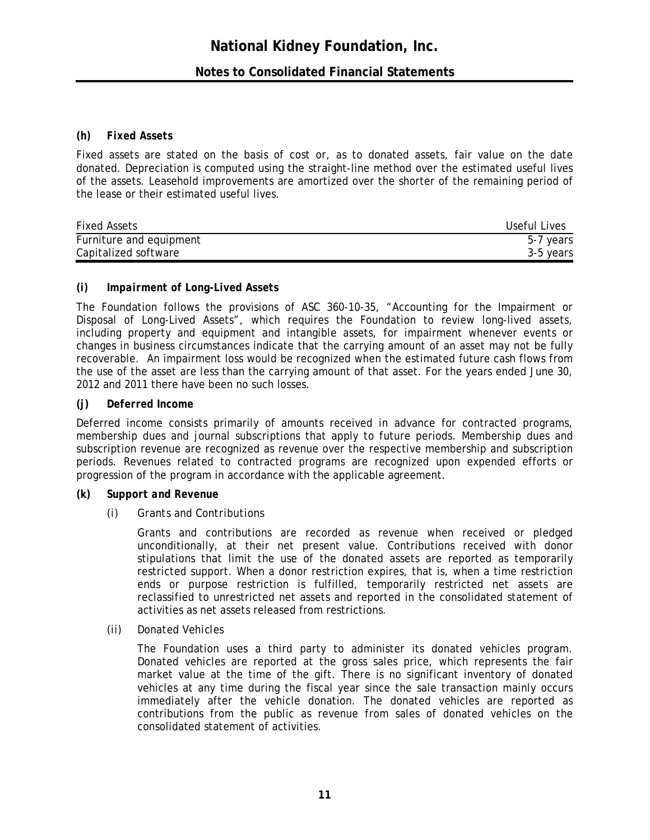#### *(h) Fixed Assets*

Fixed assets are stated on the basis of cost or, as to donated assets, fair value on the date donated. Depreciation is computed using the straight-line method over the estimated useful lives of the assets. Leasehold improvements are amortized over the shorter of the remaining period of the lease or their estimated useful lives.

| <b>Fixed Assets</b>     | Useful Lives |
|-------------------------|--------------|
| Furniture and equipment | 5-7 years    |
| Capitalized software    | 3-5 years    |

#### *(i) Impairment of Long-Lived Assets*

The Foundation follows the provisions of ASC 360-10-35, "Accounting for the Impairment or Disposal of Long-Lived Assets", which requires the Foundation to review long-lived assets, including property and equipment and intangible assets, for impairment whenever events or changes in business circumstances indicate that the carrying amount of an asset may not be fully recoverable. An impairment loss would be recognized when the estimated future cash flows from the use of the asset are less than the carrying amount of that asset. For the years ended June 30, 2012 and 2011 there have been no such losses.

#### *(j) Deferred Income*

Deferred income consists primarily of amounts received in advance for contracted programs, membership dues and journal subscriptions that apply to future periods. Membership dues and subscription revenue are recognized as revenue over the respective membership and subscription periods. Revenues related to contracted programs are recognized upon expended efforts or progression of the program in accordance with the applicable agreement.

#### *(k) Support and Revenue*

*(i) Grants and Contributions*

Grants and contributions are recorded as revenue when received or pledged unconditionally, at their net present value. Contributions received with donor stipulations that limit the use of the donated assets are reported as temporarily restricted support. When a donor restriction expires, that is, when a time restriction ends or purpose restriction is fulfilled, temporarily restricted net assets are reclassified to unrestricted net assets and reported in the consolidated statement of activities as net assets released from restrictions.

*(ii) Donated Vehicles* 

The Foundation uses a third party to administer its donated vehicles program. Donated vehicles are reported at the gross sales price, which represents the fair market value at the time of the gift. There is no significant inventory of donated vehicles at any time during the fiscal year since the sale transaction mainly occurs immediately after the vehicle donation. The donated vehicles are reported as contributions from the public as revenue from sales of donated vehicles on the consolidated statement of activities.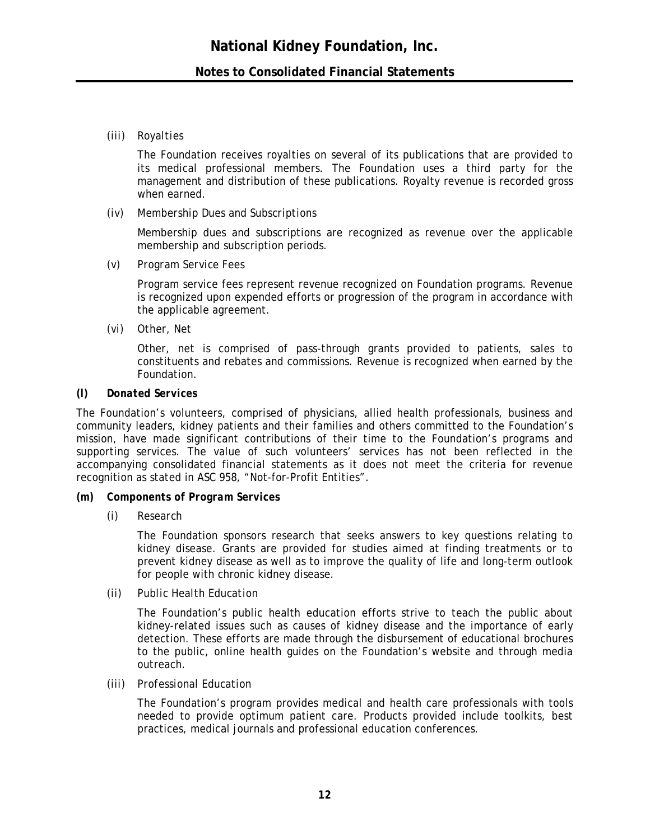#### *(iii) Royalties*

The Foundation receives royalties on several of its publications that are provided to its medical professional members. The Foundation uses a third party for the management and distribution of these publications. Royalty revenue is recorded gross when earned.

*(iv) Membership Dues and Subscriptions*

Membership dues and subscriptions are recognized as revenue over the applicable membership and subscription periods.

*(v) Program Service Fees*

Program service fees represent revenue recognized on Foundation programs. Revenue is recognized upon expended efforts or progression of the program in accordance with the applicable agreement.

*(vi) Other, Net* 

Other, net is comprised of pass-through grants provided to patients, sales to constituents and rebates and commissions. Revenue is recognized when earned by the Foundation.

#### *(l) Donated Services*

The Foundation's volunteers, comprised of physicians, allied health professionals, business and community leaders, kidney patients and their families and others committed to the Foundation's mission, have made significant contributions of their time to the Foundation's programs and supporting services. The value of such volunteers' services has not been reflected in the accompanying consolidated financial statements as it does not meet the criteria for revenue recognition as stated in ASC 958, "Not-for-Profit Entities".

#### *(m) Components of Program Services*

*(i) Research* 

The Foundation sponsors research that seeks answers to key questions relating to kidney disease. Grants are provided for studies aimed at finding treatments or to prevent kidney disease as well as to improve the quality of life and long-term outlook for people with chronic kidney disease.

*(ii) Public Health Education* 

The Foundation's public health education efforts strive to teach the public about kidney-related issues such as causes of kidney disease and the importance of early detection. These efforts are made through the disbursement of educational brochures to the public, online health guides on the Foundation's website and through media outreach.

#### *(iii) Professional Education*

The Foundation's program provides medical and health care professionals with tools needed to provide optimum patient care. Products provided include toolkits, best practices, medical journals and professional education conferences.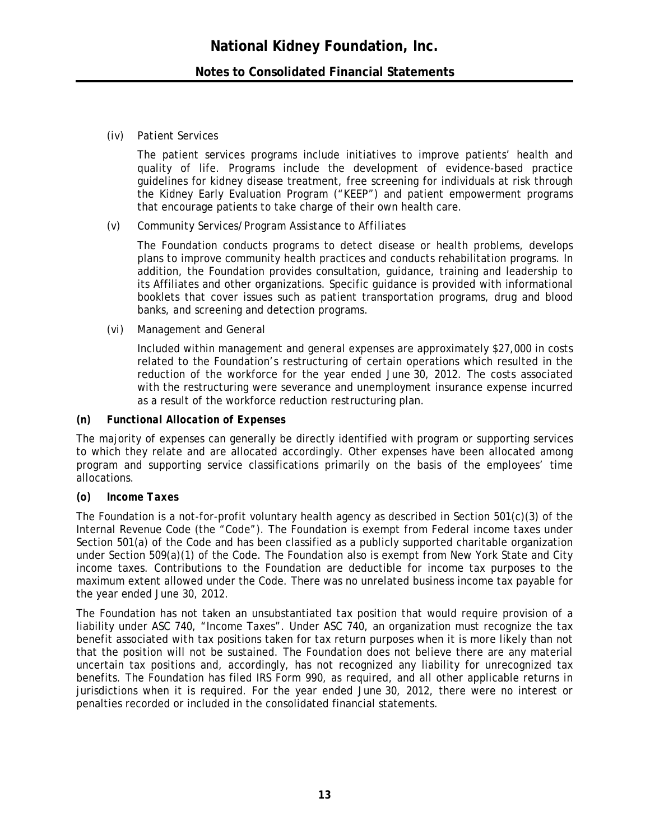#### *(iv) Patient Services*

The patient services programs include initiatives to improve patients' health and quality of life. Programs include the development of evidence-based practice guidelines for kidney disease treatment, free screening for individuals at risk through the Kidney Early Evaluation Program ("KEEP") and patient empowerment programs that encourage patients to take charge of their own health care.

#### *(v) Community Services/Program Assistance to Affiliates*

The Foundation conducts programs to detect disease or health problems, develops plans to improve community health practices and conducts rehabilitation programs. In addition, the Foundation provides consultation, guidance, training and leadership to its Affiliates and other organizations. Specific guidance is provided with informational booklets that cover issues such as patient transportation programs, drug and blood banks, and screening and detection programs.

#### *(vi) Management and General*

Included within management and general expenses are approximately \$27,000 in costs related to the Foundation's restructuring of certain operations which resulted in the reduction of the workforce for the year ended June 30, 2012. The costs associated with the restructuring were severance and unemployment insurance expense incurred as a result of the workforce reduction restructuring plan.

#### *(n) Functional Allocation of Expenses*

The majority of expenses can generally be directly identified with program or supporting services to which they relate and are allocated accordingly. Other expenses have been allocated among program and supporting service classifications primarily on the basis of the employees' time allocations.

#### *(o) Income Taxes*

The Foundation is a not-for-profit voluntary health agency as described in Section 501(c)(3) of the Internal Revenue Code (the "Code"). The Foundation is exempt from Federal income taxes under Section 501(a) of the Code and has been classified as a publicly supported charitable organization under Section 509(a)(1) of the Code. The Foundation also is exempt from New York State and City income taxes. Contributions to the Foundation are deductible for income tax purposes to the maximum extent allowed under the Code. There was no unrelated business income tax payable for the year ended June 30, 2012.

The Foundation has not taken an unsubstantiated tax position that would require provision of a liability under ASC 740, "Income Taxes". Under ASC 740, an organization must recognize the tax benefit associated with tax positions taken for tax return purposes when it is more likely than not that the position will not be sustained. The Foundation does not believe there are any material uncertain tax positions and, accordingly, has not recognized any liability for unrecognized tax benefits. The Foundation has filed IRS Form 990, as required, and all other applicable returns in jurisdictions when it is required. For the year ended June 30, 2012, there were no interest or penalties recorded or included in the consolidated financial statements.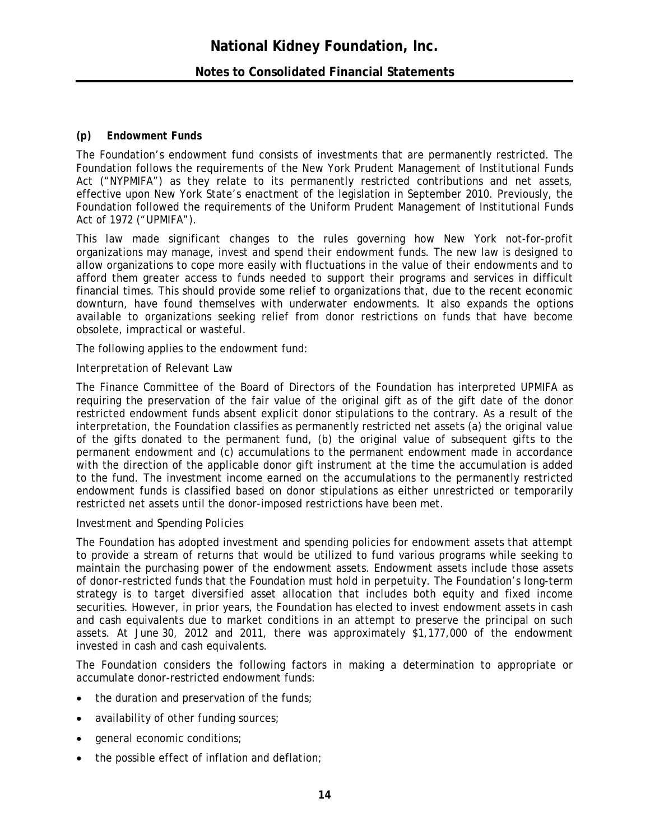#### *(p) Endowment Funds*

The Foundation's endowment fund consists of investments that are permanently restricted. The Foundation follows the requirements of the New York Prudent Management of Institutional Funds Act ("NYPMIFA") as they relate to its permanently restricted contributions and net assets, effective upon New York State's enactment of the legislation in September 2010. Previously, the Foundation followed the requirements of the Uniform Prudent Management of Institutional Funds Act of 1972 ("UPMIFA").

This law made significant changes to the rules governing how New York not-for-profit organizations may manage, invest and spend their endowment funds. The new law is designed to allow organizations to cope more easily with fluctuations in the value of their endowments and to afford them greater access to funds needed to support their programs and services in difficult financial times. This should provide some relief to organizations that, due to the recent economic downturn, have found themselves with underwater endowments. It also expands the options available to organizations seeking relief from donor restrictions on funds that have become obsolete, impractical or wasteful.

The following applies to the endowment fund:

#### *Interpretation of Relevant Law*

The Finance Committee of the Board of Directors of the Foundation has interpreted UPMIFA as requiring the preservation of the fair value of the original gift as of the gift date of the donor restricted endowment funds absent explicit donor stipulations to the contrary. As a result of the interpretation, the Foundation classifies as permanently restricted net assets (a) the original value of the gifts donated to the permanent fund, (b) the original value of subsequent gifts to the permanent endowment and (c) accumulations to the permanent endowment made in accordance with the direction of the applicable donor gift instrument at the time the accumulation is added to the fund. The investment income earned on the accumulations to the permanently restricted endowment funds is classified based on donor stipulations as either unrestricted or temporarily restricted net assets until the donor-imposed restrictions have been met.

#### *Investment and Spending Policies*

The Foundation has adopted investment and spending policies for endowment assets that attempt to provide a stream of returns that would be utilized to fund various programs while seeking to maintain the purchasing power of the endowment assets. Endowment assets include those assets of donor-restricted funds that the Foundation must hold in perpetuity. The Foundation's long-term strategy is to target diversified asset allocation that includes both equity and fixed income securities. However, in prior years, the Foundation has elected to invest endowment assets in cash and cash equivalents due to market conditions in an attempt to preserve the principal on such assets. At June 30, 2012 and 2011, there was approximately \$1,177,000 of the endowment invested in cash and cash equivalents.

The Foundation considers the following factors in making a determination to appropriate or accumulate donor-restricted endowment funds:

- $\bullet$  the duration and preservation of the funds;
- availability of other funding sources;
- **e** general economic conditions;
- the possible effect of inflation and deflation;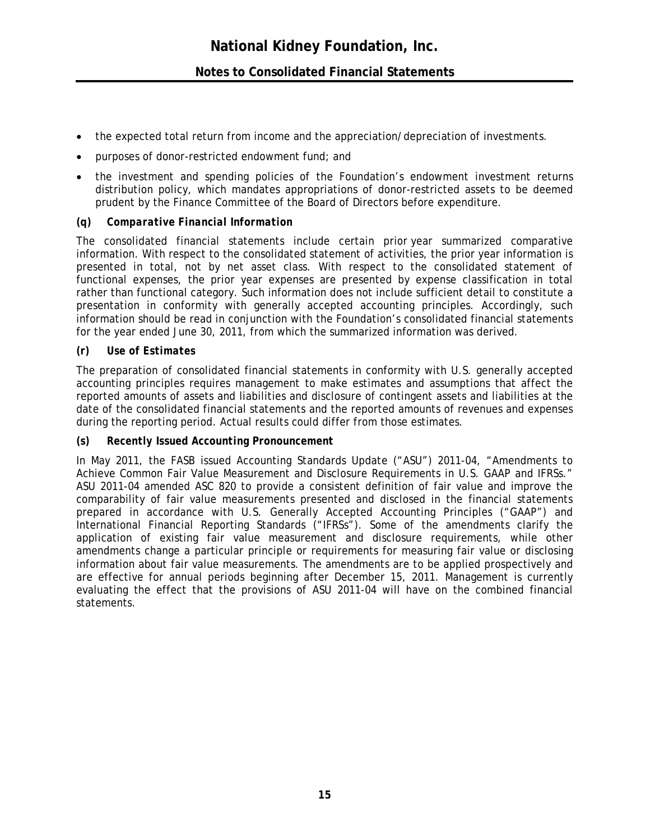- the expected total return from income and the appreciation/depreciation of investments.
- purposes of donor-restricted endowment fund; and
- the investment and spending policies of the Foundation's endowment investment returns distribution policy, which mandates appropriations of donor-restricted assets to be deemed prudent by the Finance Committee of the Board of Directors before expenditure.

## *(q) Comparative Financial Information*

The consolidated financial statements include certain prior year summarized comparative information. With respect to the consolidated statement of activities, the prior year information is presented in total, not by net asset class. With respect to the consolidated statement of functional expenses, the prior year expenses are presented by expense classification in total rather than functional category. Such information does not include sufficient detail to constitute a presentation in conformity with generally accepted accounting principles. Accordingly, such information should be read in conjunction with the Foundation's consolidated financial statements for the year ended June 30, 2011, from which the summarized information was derived.

### *(r) Use of Estimates*

The preparation of consolidated financial statements in conformity with U.S. generally accepted accounting principles requires management to make estimates and assumptions that affect the reported amounts of assets and liabilities and disclosure of contingent assets and liabilities at the date of the consolidated financial statements and the reported amounts of revenues and expenses during the reporting period. Actual results could differ from those estimates.

#### *(s) Recently Issued Accounting Pronouncement*

In May 2011, the FASB issued Accounting Standards Update ("ASU") 2011-04, "Amendments to Achieve Common Fair Value Measurement and Disclosure Requirements in U.S. GAAP and IFRSs." ASU 2011-04 amended ASC 820 to provide a consistent definition of fair value and improve the comparability of fair value measurements presented and disclosed in the financial statements prepared in accordance with U.S. Generally Accepted Accounting Principles ("GAAP") and International Financial Reporting Standards ("IFRSs"). Some of the amendments clarify the application of existing fair value measurement and disclosure requirements, while other amendments change a particular principle or requirements for measuring fair value or disclosing information about fair value measurements. The amendments are to be applied prospectively and are effective for annual periods beginning after December 15, 2011. Management is currently evaluating the effect that the provisions of ASU 2011-04 will have on the combined financial statements*.*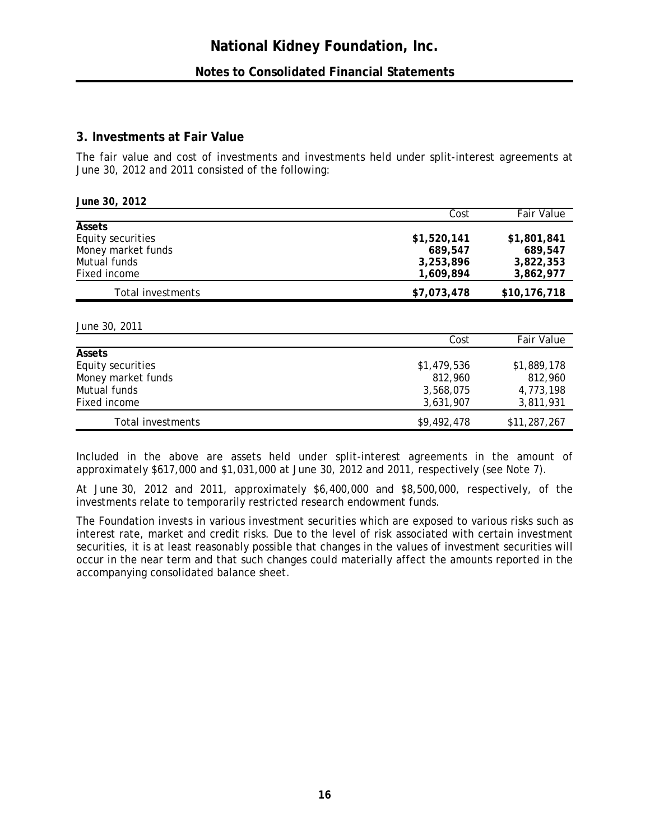## **3. Investments at Fair Value**

The fair value and cost of investments and investments held under split-interest agreements at June 30, 2012 and 2011 consisted of the following:

| June 30, 2012      |             |                   |
|--------------------|-------------|-------------------|
|                    | Cost        | <b>Fair Value</b> |
| Assets             |             |                   |
| Equity securities  | \$1,520,141 | \$1,801,841       |
| Money market funds | 689,547     | 689,547           |
| Mutual funds       | 3,253,896   | 3,822,353         |
| Fixed income       | 1,609,894   | 3,862,977         |
| Total investments  | \$7,073,478 | \$10,176,718      |
|                    |             |                   |

*June 30, 2011* 

|                    | Cost        | Fair Value   |
|--------------------|-------------|--------------|
| <b>Assets</b>      |             |              |
| Equity securities  | \$1,479,536 | \$1,889,178  |
| Money market funds | 812,960     | 812,960      |
| Mutual funds       | 3,568,075   | 4,773,198    |
| Fixed income       | 3,631,907   | 3,811,931    |
| Total investments  | \$9,492,478 | \$11,287,267 |

Included in the above are assets held under split-interest agreements in the amount of approximately \$617,000 and \$1,031,000 at June 30, 2012 and 2011, respectively (see Note 7).

At June 30, 2012 and 2011, approximately \$6,400,000 and \$8,500,000, respectively, of the investments relate to temporarily restricted research endowment funds.

The Foundation invests in various investment securities which are exposed to various risks such as interest rate, market and credit risks. Due to the level of risk associated with certain investment securities, it is at least reasonably possible that changes in the values of investment securities will occur in the near term and that such changes could materially affect the amounts reported in the accompanying consolidated balance sheet.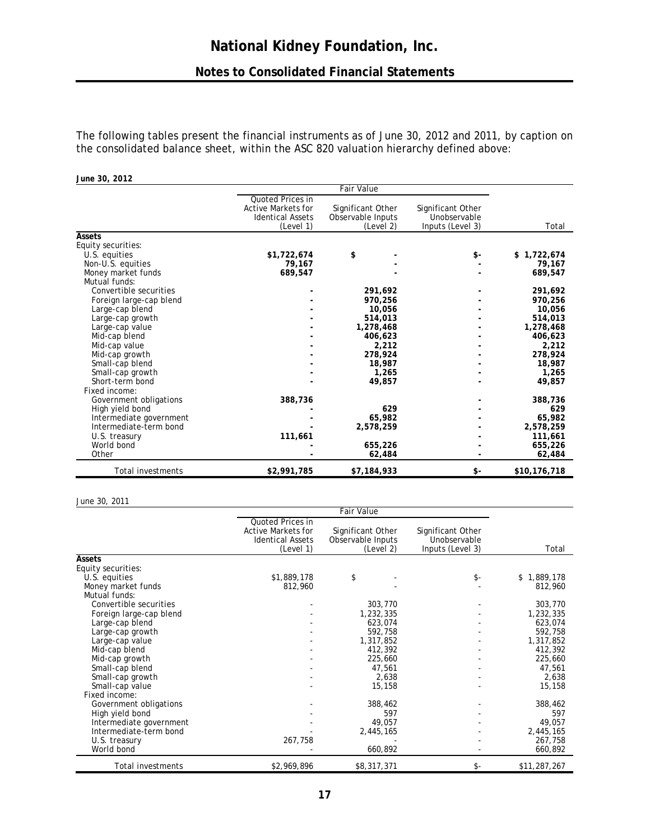The following tables present the financial instruments as of June 30, 2012 and 2011, by caption on the consolidated balance sheet, within the ASC 820 valuation hierarchy defined above:

| June 30, 2012            |                                                                                       |                                                     |                                                       |              |
|--------------------------|---------------------------------------------------------------------------------------|-----------------------------------------------------|-------------------------------------------------------|--------------|
|                          |                                                                                       | <b>Fair Value</b>                                   |                                                       |              |
|                          | Quoted Prices in<br><b>Active Markets for</b><br><b>Identical Assets</b><br>(Level 1) | Significant Other<br>Observable Inputs<br>(Level 2) | Significant Other<br>Unobservable<br>Inputs (Level 3) | Total        |
| Assets                   |                                                                                       |                                                     |                                                       |              |
| Equity securities:       |                                                                                       |                                                     |                                                       |              |
| U.S. equities            | \$1,722,674                                                                           | \$                                                  | \$-                                                   | \$1,722,674  |
| Non-U.S. equities        | 79,167                                                                                |                                                     |                                                       | 79,167       |
| Money market funds       | 689,547                                                                               |                                                     |                                                       | 689,547      |
| Mutual funds:            |                                                                                       |                                                     |                                                       |              |
| Convertible securities   |                                                                                       | 291.692                                             |                                                       | 291,692      |
| Foreign large-cap blend  |                                                                                       | 970,256                                             |                                                       | 970,256      |
| Large-cap blend          |                                                                                       | 10,056                                              |                                                       | 10,056       |
| Large-cap growth         |                                                                                       | 514,013                                             |                                                       | 514,013      |
| Large-cap value          |                                                                                       | 1,278,468                                           |                                                       | 1,278,468    |
| Mid-cap blend            |                                                                                       | 406,623                                             |                                                       | 406,623      |
| Mid-cap value            |                                                                                       | 2,212                                               |                                                       | 2,212        |
| Mid-cap growth           |                                                                                       | 278,924                                             |                                                       | 278,924      |
| Small-cap blend          |                                                                                       | 18,987                                              |                                                       | 18,987       |
| Small-cap growth         |                                                                                       | 1,265                                               |                                                       | 1,265        |
| Short-term bond          |                                                                                       | 49,857                                              |                                                       | 49,857       |
| Fixed income:            |                                                                                       |                                                     |                                                       |              |
| Government obligations   | 388,736                                                                               |                                                     |                                                       | 388,736      |
| High yield bond          |                                                                                       | 629                                                 |                                                       | 629          |
| Intermediate government  |                                                                                       | 65,982                                              |                                                       | 65,982       |
| Intermediate-term bond   |                                                                                       | 2,578,259                                           |                                                       | 2,578,259    |
| U.S. treasury            | 111,661                                                                               |                                                     |                                                       | 111,661      |
| World bond               |                                                                                       | 655,226                                             |                                                       | 655,226      |
| Other                    |                                                                                       | 62,484                                              |                                                       | 62,484       |
| <b>Total investments</b> | \$2,991,785                                                                           | \$7,184,933                                         | \$-                                                   | \$10,176,718 |

#### *June 30, 2011*

|                         |                                                                                       | <b>Fair Value</b>                                   |                                                       |              |
|-------------------------|---------------------------------------------------------------------------------------|-----------------------------------------------------|-------------------------------------------------------|--------------|
|                         | Quoted Prices in<br><b>Active Markets for</b><br><b>Identical Assets</b><br>(Level 1) | Significant Other<br>Observable Inputs<br>(Level 2) | Significant Other<br>Unobservable<br>Inputs (Level 3) | Total        |
| Assets                  |                                                                                       |                                                     |                                                       |              |
| Equity securities:      |                                                                                       |                                                     |                                                       |              |
| U.S. equities           | \$1,889,178                                                                           | \$                                                  | \$-                                                   | \$1,889,178  |
| Money market funds      | 812,960                                                                               |                                                     |                                                       | 812,960      |
| Mutual funds:           |                                                                                       |                                                     |                                                       |              |
| Convertible securities  |                                                                                       | 303,770                                             |                                                       | 303,770      |
| Foreign large-cap blend |                                                                                       | 1,232,335                                           |                                                       | 1,232,335    |
| Large-cap blend         |                                                                                       | 623,074                                             |                                                       | 623,074      |
| Large-cap growth        |                                                                                       | 592,758                                             |                                                       | 592,758      |
| Large-cap value         |                                                                                       | 1,317,852                                           |                                                       | 1,317,852    |
| Mid-cap blend           |                                                                                       | 412,392                                             |                                                       | 412,392      |
| Mid-cap growth          |                                                                                       | 225,660                                             |                                                       | 225,660      |
| Small-cap blend         |                                                                                       | 47,561                                              |                                                       | 47,561       |
| Small-cap growth        |                                                                                       | 2,638                                               |                                                       | 2,638        |
| Small-cap value         |                                                                                       | 15,158                                              |                                                       | 15,158       |
| Fixed income:           |                                                                                       |                                                     |                                                       |              |
| Government obligations  |                                                                                       | 388,462                                             |                                                       | 388,462      |
| High yield bond         |                                                                                       | 597                                                 |                                                       | 597          |
| Intermediate government |                                                                                       | 49,057                                              |                                                       | 49,057       |
| Intermediate-term bond  |                                                                                       | 2,445,165                                           |                                                       | 2,445,165    |
| U.S. treasury           | 267,758                                                                               |                                                     |                                                       | 267,758      |
| World bond              |                                                                                       | 660,892                                             |                                                       | 660,892      |
| Total investments       | \$2,969,896                                                                           | \$8,317,371                                         | \$-                                                   | \$11,287,267 |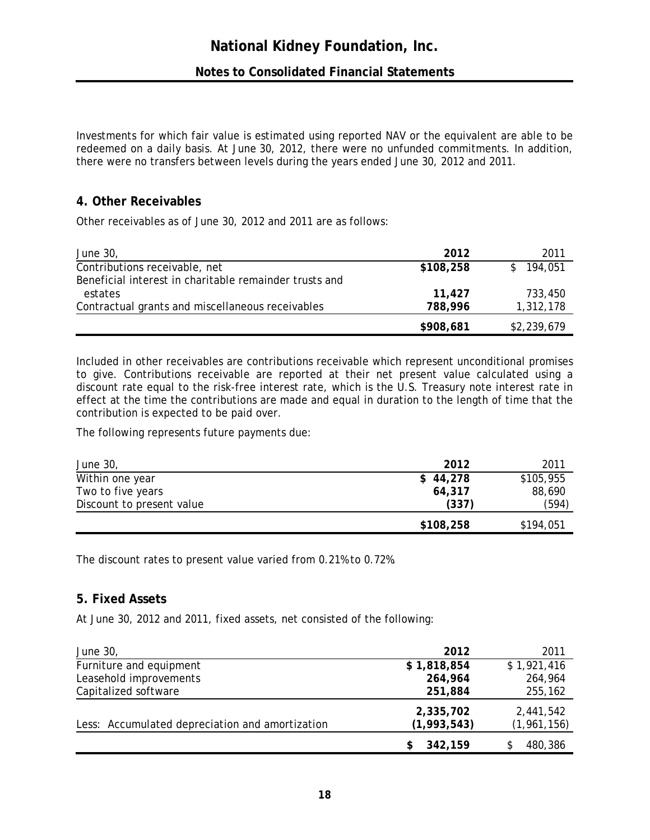Investments for which fair value is estimated using reported NAV or the equivalent are able to be redeemed on a daily basis. At June 30, 2012, there were no unfunded commitments. In addition, there were no transfers between levels during the years ended June 30, 2012 and 2011.

## **4. Other Receivables**

Other receivables as of June 30, 2012 and 2011 are as follows:

| June 30,                                               | 2012      | 2011        |
|--------------------------------------------------------|-----------|-------------|
| Contributions receivable, net                          | \$108,258 | \$194,051   |
| Beneficial interest in charitable remainder trusts and |           |             |
| estates                                                | 11,427    | 733,450     |
| Contractual grants and miscellaneous receivables       | 788,996   | 1,312,178   |
|                                                        | \$908,681 | \$2,239,679 |

Included in other receivables are contributions receivable which represent unconditional promises to give. Contributions receivable are reported at their net present value calculated using a discount rate equal to the risk-free interest rate, which is the U.S. Treasury note interest rate in effect at the time the contributions are made and equal in duration to the length of time that the contribution is expected to be paid over.

The following represents future payments due:

|                           | \$108,258 | \$194,051 |
|---------------------------|-----------|-----------|
| Discount to present value | (337)     | (594)     |
| Two to five years         | 64,317    | 88,690    |
| Within one year           | \$44,278  | \$105,955 |
| June 30,                  | 2012      | 2011      |

The discount rates to present value varied from 0.21% to 0.72%.

## **5. Fixed Assets**

At June 30, 2012 and 2011, fixed assets, net consisted of the following:

| June 30,                                        | 2012                     | 2011                       |
|-------------------------------------------------|--------------------------|----------------------------|
| Furniture and equipment                         | \$1,818,854              | \$1,921,416                |
| Leasehold improvements                          | 264,964                  | 264,964                    |
| Capitalized software                            | 251,884                  | 255,162                    |
| Less: Accumulated depreciation and amortization | 2,335,702<br>(1,993,543) | 2,441,542<br>(1, 961, 156) |
|                                                 | 342,159                  | 480,386                    |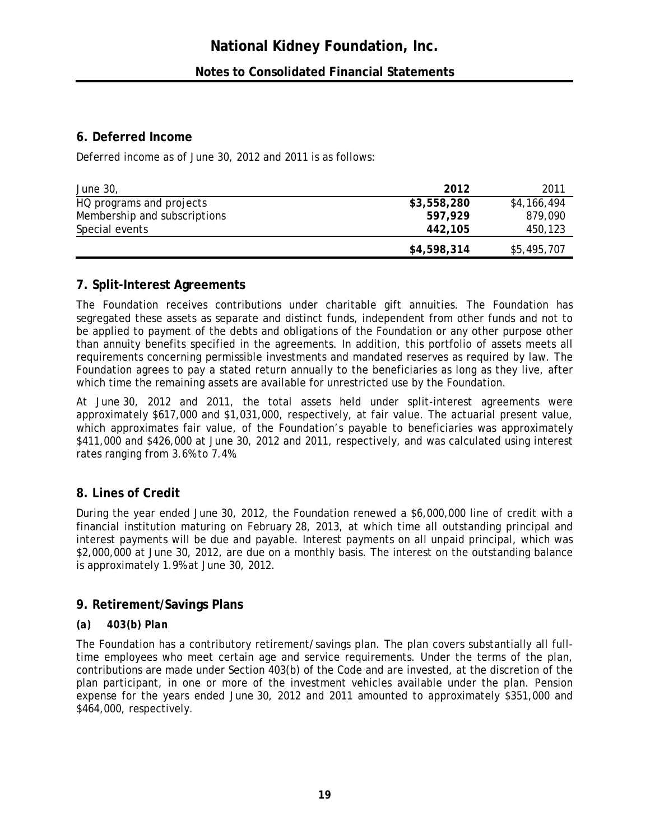## **6. Deferred Income**

Deferred income as of June 30, 2012 and 2011 is as follows:

| June 30,                     | 2012        | 2011        |
|------------------------------|-------------|-------------|
| HQ programs and projects     | \$3,558,280 | \$4,166,494 |
| Membership and subscriptions | 597.929     | 879.090     |
| Special events               | 442,105     | 450,123     |
|                              | \$4,598,314 | \$5,495,707 |

## **7. Split-Interest Agreements**

The Foundation receives contributions under charitable gift annuities. The Foundation has segregated these assets as separate and distinct funds, independent from other funds and not to be applied to payment of the debts and obligations of the Foundation or any other purpose other than annuity benefits specified in the agreements. In addition, this portfolio of assets meets all requirements concerning permissible investments and mandated reserves as required by law. The Foundation agrees to pay a stated return annually to the beneficiaries as long as they live, after which time the remaining assets are available for unrestricted use by the Foundation.

At June 30, 2012 and 2011, the total assets held under split-interest agreements were approximately \$617,000 and \$1,031,000, respectively, at fair value. The actuarial present value, which approximates fair value, of the Foundation's payable to beneficiaries was approximately \$411,000 and \$426,000 at June 30, 2012 and 2011, respectively, and was calculated using interest rates ranging from 3.6% to 7.4%.

## **8. Lines of Credit**

During the year ended June 30, 2012, the Foundation renewed a \$6,000,000 line of credit with a financial institution maturing on February 28, 2013, at which time all outstanding principal and interest payments will be due and payable. Interest payments on all unpaid principal, which was \$2,000,000 at June 30, 2012, are due on a monthly basis. The interest on the outstanding balance is approximately 1.9% at June 30, 2012.

## **9. Retirement/Savings Plans**

## *(a) 403(b) Plan*

The Foundation has a contributory retirement/savings plan. The plan covers substantially all fulltime employees who meet certain age and service requirements. Under the terms of the plan, contributions are made under Section 403(b) of the Code and are invested, at the discretion of the plan participant, in one or more of the investment vehicles available under the plan. Pension expense for the years ended June 30, 2012 and 2011 amounted to approximately \$351,000 and \$464,000, respectively.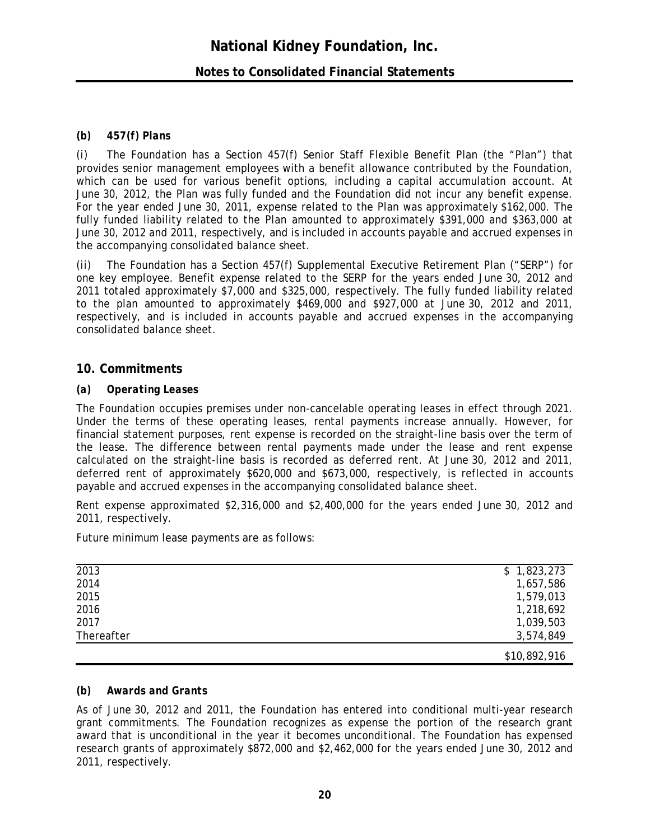## **Notes to Consolidated Financial Statements**

#### *(b) 457(f) Plans*

*(i)* The Foundation has a Section 457(f) Senior Staff Flexible Benefit Plan (the "Plan") that provides senior management employees with a benefit allowance contributed by the Foundation, which can be used for various benefit options, including a capital accumulation account. At June 30, 2012, the Plan was fully funded and the Foundation did not incur any benefit expense. For the year ended June 30, 2011, expense related to the Plan was approximately \$162,000. The fully funded liability related to the Plan amounted to approximately \$391,000 and \$363,000 at June 30, 2012 and 2011, respectively, and is included in accounts payable and accrued expenses in the accompanying consolidated balance sheet.

*(ii)* The Foundation has a Section 457(f) Supplemental Executive Retirement Plan ("SERP") for one key employee. Benefit expense related to the SERP for the years ended June 30, 2012 and 2011 totaled approximately \$7,000 and \$325,000, respectively. The fully funded liability related to the plan amounted to approximately \$469,000 and \$927,000 at June 30, 2012 and 2011, respectively, and is included in accounts payable and accrued expenses in the accompanying consolidated balance sheet.

#### **10. Commitments**

#### *(a) Operating Leases*

The Foundation occupies premises under non-cancelable operating leases in effect through 2021. Under the terms of these operating leases, rental payments increase annually. However, for financial statement purposes, rent expense is recorded on the straight-line basis over the term of the lease. The difference between rental payments made under the lease and rent expense calculated on the straight-line basis is recorded as deferred rent. At June 30, 2012 and 2011, deferred rent of approximately \$620,000 and \$673,000, respectively, is reflected in accounts payable and accrued expenses in the accompanying consolidated balance sheet.

Rent expense approximated \$2,316,000 and \$2,400,000 for the years ended June 30, 2012 and 2011, respectively.

Future minimum lease payments are as follows:

| 2013       | \$1,823,273  |
|------------|--------------|
| 2014       | 1,657,586    |
| 2015       | 1,579,013    |
| 2016       | 1,218,692    |
| 2017       | 1,039,503    |
| Thereafter | 3,574,849    |
|            | \$10,892,916 |

#### *(b) Awards and Grants*

As of June 30, 2012 and 2011, the Foundation has entered into conditional multi-year research grant commitments. The Foundation recognizes as expense the portion of the research grant award that is unconditional in the year it becomes unconditional. The Foundation has expensed research grants of approximately \$872,000 and \$2,462,000 for the years ended June 30, 2012 and 2011, respectively.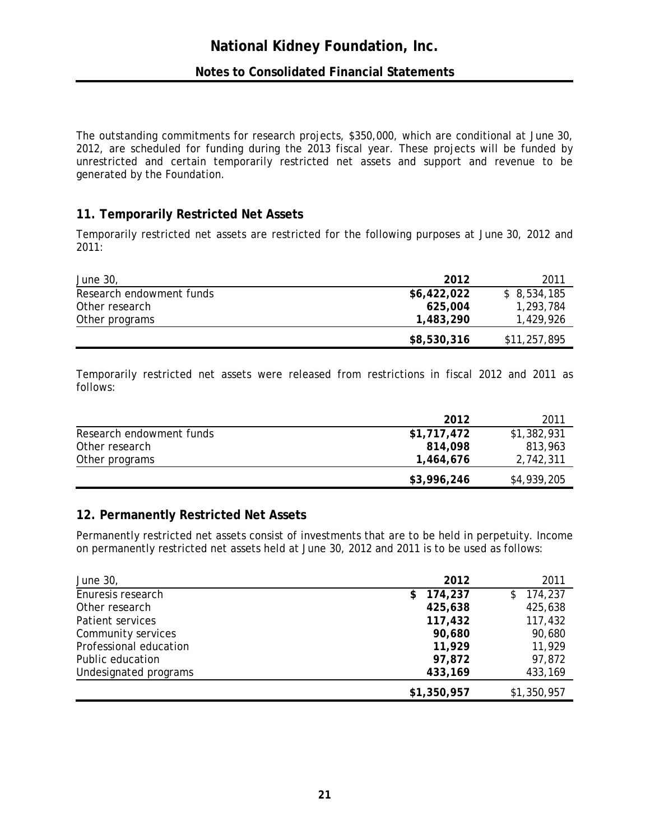The outstanding commitments for research projects, \$350,000, which are conditional at June 30, 2012, are scheduled for funding during the 2013 fiscal year. These projects will be funded by unrestricted and certain temporarily restricted net assets and support and revenue to be generated by the Foundation.

## **11. Temporarily Restricted Net Assets**

Temporarily restricted net assets are restricted for the following purposes at June 30, 2012 and 2011:

| <i>June 30,</i>          | 2012        | 2011         |
|--------------------------|-------------|--------------|
| Research endowment funds | \$6,422,022 | \$8,534,185  |
| Other research           | 625,004     | 1,293,784    |
| Other programs           | 1,483,290   | 1,429,926    |
|                          | \$8,530,316 | \$11,257,895 |

Temporarily restricted net assets were released from restrictions in fiscal 2012 and 2011 as follows:

|                          | 2012        | 2011        |
|--------------------------|-------------|-------------|
| Research endowment funds | \$1,717,472 | \$1,382,931 |
| Other research           | 814,098     | 813,963     |
| Other programs           | 1,464,676   | 2,742,311   |
|                          | \$3,996,246 | \$4,939,205 |

## **12. Permanently Restricted Net Assets**

Permanently restricted net assets consist of investments that are to be held in perpetuity. Income on permanently restricted net assets held at June 30, 2012 and 2011 is to be used as follows:

| June 30,               | 2012          | 2011        |
|------------------------|---------------|-------------|
| Enuresis research      | 174,237<br>S. | \$174,237   |
| Other research         | 425,638       | 425,638     |
| Patient services       | 117,432       | 117,432     |
| Community services     | 90,680        | 90,680      |
| Professional education | 11,929        | 11,929      |
| Public education       | 97,872        | 97,872      |
| Undesignated programs  | 433,169       | 433,169     |
|                        | \$1,350,957   | \$1,350,957 |